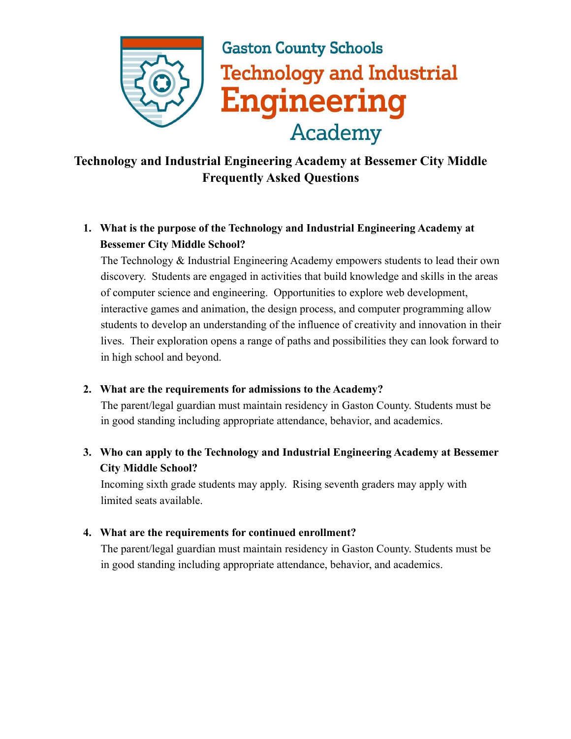

# **Gaston County Schools Technology and Industrial Engineering Academy**

# **Technology and Industrial Engineering Academy at Bessemer City Middle Frequently Asked Questions**

## **1. What is the purpose of the Technology and Industrial Engineering Academy at Bessemer City Middle School?**

The Technology & Industrial Engineering Academy empowers students to lead their own discovery. Students are engaged in activities that build knowledge and skills in the areas of computer science and engineering. Opportunities to explore web development, interactive games and animation, the design process, and computer programming allow students to develop an understanding of the influence of creativity and innovation in their lives. Their exploration opens a range of paths and possibilities they can look forward to in high school and beyond.

#### **2. What are the requirements for admissions to the Academy?**

The parent/legal guardian must maintain residency in Gaston County. Students must be in good standing including appropriate attendance, behavior, and academics.

### **3. Who can apply to the Technology and Industrial Engineering Academy at Bessemer City Middle School?**

Incoming sixth grade students may apply. Rising seventh graders may apply with limited seats available.

#### **4. What are the requirements for continued enrollment?**

The parent/legal guardian must maintain residency in Gaston County. Students must be in good standing including appropriate attendance, behavior, and academics.